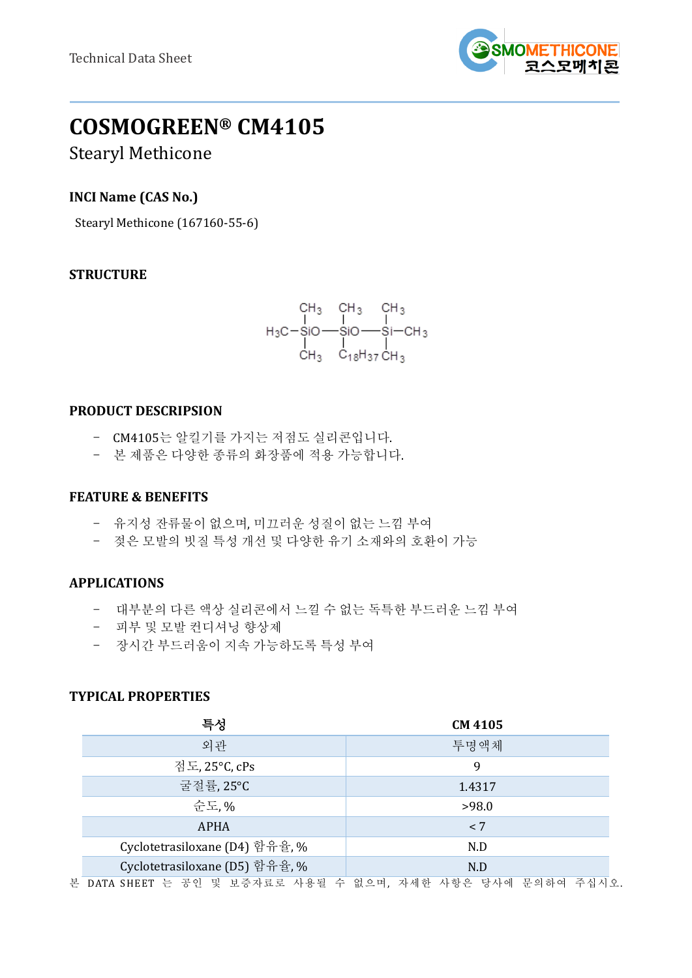

# **COSMOGREEN® CM4105**

# Stearyl Methicone

# **INCI Name (CAS No.)**

Stearyl Methicone (167160-55-6)

# **STRUCTURE**

$$
\begin{array}{cccc}\n & CH_3 & CH_3 & CH_3 \\
 & | & | & | \\
H_3C-SIO \longrightarrow SiO \longrightarrow Si \longrightarrow CH_3 \\
 & | & | & | \\
 & CH_3 & C_{18}H_{37}CH_3\n\end{array}
$$

#### **PRODUCT DESCRIPSION**

- CM4105는 알킬기를 가지는 저점도 실리콘입니다.
- 본 제품은 다양한 종류의 화장품에 적용 가능합니다.

## **FEATURE & BENEFITS**

- 유지성 잔류물이 없으며, 미끄러운 성질이 없는 느낌 부여
- 젖은 모발의 빗질 특성 개선 및 다양한 유기 소재와의 호환이 가능

# **APPLICATIONS**

- 대부분의 다른 액상 실리콘에서 느낄 수 없는 독특한 부드러운 느낌 부여
- 피부 및 모발 컨디셔닝 향상제
- 장시간 부드러움이 지속 가능하도록 특성 부여

# **TYPICAL PROPERTIES**

| 특성                             | <b>CM 4105</b> |
|--------------------------------|----------------|
| 외관                             | 투명액체           |
| 점도, 25°C, cPs                  | 9              |
| 굴절률, 25°C                      | 1.4317         |
| 순도.%                           | >98.0          |
| <b>APHA</b>                    | < 7            |
| Cyclotetrasiloxane (D4) 함유율, % | N.D            |
| Cyclotetrasiloxane (D5) 함유율, % | N.D            |
|                                |                |

본 DATA SHEET 는 공인 및 보증자료로 사용될 수 없으며, 자세한 사항은 당사에 문의하여 주십시오.